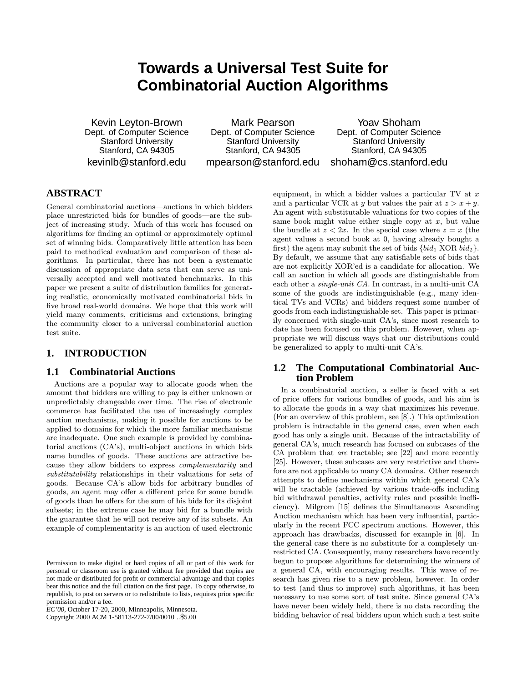# **Towards a Universal Test Suite for Combinatorial Auction Algorithms**

Kevin Leyton-Brown Dept. of Computer Science Stanford University Stanford, CA 94305 kevinlb@stanford.edu

Mark Pearson Dept. of Computer Science Stanford University Stanford, CA 94305 mpearson@stanford.edu

Yoav Shoham Dept. of Computer Science Stanford University Stanford, CA 94305 shoham@cs.stanford.edu

# **ABSTRACT**

General combinatorial auctions—auctions in which bidders place unrestricted bids for bundles of goods—are the subject of increasing study. Much of this work has focused on algorithms for finding an optimal or approximately optimal set of winning bids. Comparatively little attention has been paid to methodical evaluation and comparison of these algorithms. In particular, there has not been a systematic discussion of appropriate data sets that can serve as universally accepted and well motivated benchmarks. In this paper we present a suite of distribution families for generating realistic, economically motivated combinatorial bids in five broad real-world domains. We hope that this work will yield many comments, criticisms and extensions, bringing the community closer to a universal combinatorial auction test suite.

## **1. INTRODUCTION**

## **1.1 Combinatorial Auctions**

Auctions are a popular way to allocate goods when the amount that bidders are willing to pay is either unknown or unpredictably changeable over time. The rise of electronic commerce has facilitated the use of increasingly complex auction mechanisms, making it possible for auctions to be applied to domains for which the more familiar mechanisms are inadequate. One such example is provided by combinatorial auctions (CA's), multi-object auctions in which bids name bundles of goods. These auctions are attractive because they allow bidders to express complementarity and substitutability relationships in their valuations for sets of goods. Because CA's allow bids for arbitrary bundles of goods, an agent may offer a different price for some bundle of goods than he offers for the sum of his bids for its disjoint subsets; in the extreme case he may bid for a bundle with the guarantee that he will not receive any of its subsets. An example of complementarity is an auction of used electronic

Copyright 2000 ACM 1-58113-272-7/00/0010 ..\$5.00

equipment, in which a bidder values a particular TV at  $x$ and a particular VCR at y but values the pair at  $z > x + y$ . An agent with substitutable valuations for two copies of the same book might value either single copy at  $x$ , but value the bundle at  $z < 2x$ . In the special case where  $z = x$  (the agent values a second book at 0, having already bought a first) the agent may submit the set of bids  $\{bid_1 \text{ XOR } bid_2\}.$ By default, we assume that any satisfiable sets of bids that are not explicitly XOR'ed is a candidate for allocation. We call an auction in which all goods are distinguishable from each other a single-unit CA. In contrast, in a multi-unit CA some of the goods are indistinguishable (e.g., many identical TVs and VCRs) and bidders request some number of goods from each indistinguishable set. This paper is primarily concerned with single-unit CA's, since most research to date has been focused on this problem. However, when appropriate we will discuss ways that our distributions could be generalized to apply to multi-unit CA's.

## **1.2 The Computational Combinatorial Auction Problem**

In a combinatorial auction, a seller is faced with a set of price offers for various bundles of goods, and his aim is to allocate the goods in a way that maximizes his revenue. (For an overview of this problem, see [8].) This optimization problem is intractable in the general case, even when each good has only a single unit. Because of the intractability of general CA's, much research has focused on subcases of the CA problem that are tractable; see [22] and more recently [25]. However, these subcases are very restrictive and therefore are not applicable to many CA domains. Other research attempts to define mechanisms within which general CA's will be tractable (achieved by various trade-offs including bid withdrawal penalties, activity rules and possible inefficiency). Milgrom [15] defines the Simultaneous Ascending Auction mechanism which has been very influential, particularly in the recent FCC spectrum auctions. However, this approach has drawbacks, discussed for example in [6]. In the general case there is no substitute for a completely unrestricted CA. Consequently, many researchers have recently begun to propose algorithms for determining the winners of a general CA, with encouraging results. This wave of research has given rise to a new problem, however. In order to test (and thus to improve) such algorithms, it has been necessary to use some sort of test suite. Since general CA's have never been widely held, there is no data recording the bidding behavior of real bidders upon which such a test suite

Permission to make digital or hard copies of all or part of this work for personal or classroom use is granted without fee provided that copies are not made or distributed for profit or commercial advantage and that copies bear this notice and the full citation on the first page. To copy otherwise, to republish, to post on servers or to redistribute to lists, requires prior specific permission and/or a fee.

*EC'00,* October 17-20, 2000, Minneapolis, Minnesota.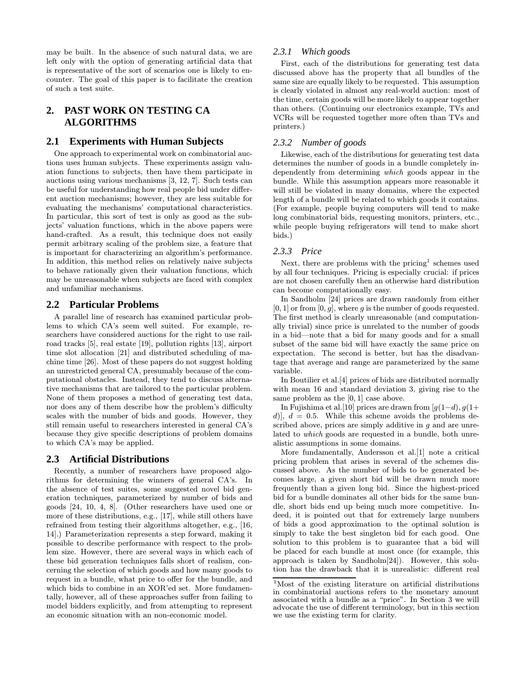may be built. In the absence of such natural data, we are left only with the option of generating artificial data that is representative of the sort of scenarios one is likely to encounter. The goal of this paper is to facilitate the creation of such a test suite.

# **2. PAST WORK ON TESTING CA ALGORITHMS**

## **2.1 Experiments with Human Subjects**

One approach to experimental work on combinatorial auctions uses human subjects. These experiments assign valuation functions to subjects, then have them participate in auctions using various mechanisms [3, 12, 7]. Such tests can be useful for understanding how real people bid under different auction mechanisms; however, they are less suitable for evaluating the mechanisms' computational characteristics. In particular, this sort of test is only as good as the subjects' valuation functions, which in the above papers were hand-crafted. As a result, this technique does not easily permit arbitrary scaling of the problem size, a feature that is important for characterizing an algorithm's performance. In addition, this method relies on relatively naive subjects to behave rationally given their valuation functions, which may be unreasonable when subjects are faced with complex and unfamiliar mechanisms.

## **2.2 Particular Problems**

A parallel line of research has examined particular problems to which CA's seem well suited. For example, researchers have considered auctions for the right to use railroad tracks [5], real estate [19], pollution rights [13], airport time slot allocation [21] and distributed scheduling of machine time [26]. Most of these papers do not suggest holding an unrestricted general CA, presumably because of the computational obstacles. Instead, they tend to discuss alternative mechanisms that are tailored to the particular problem. None of them proposes a method of generating test data, nor does any of them describe how the problem's difficulty scales with the number of bids and goods. However, they still remain useful to researchers interested in general CA's because they give specific descriptions of problem domains to which CA's may be applied.

## **2.3 Artificial Distributions**

Recently, a number of researchers have proposed algorithms for determining the winners of general CA's. In the absence of test suites, some suggested novel bid generation techniques, parameterized by number of bids and goods [24, 10, 4, 8]. (Other researchers have used one or more of these distributions, e.g., [17], while still others have refrained from testing their algorithms altogether, e.g., [16, 14].) Parameterization represents a step forward, making it possible to describe performance with respect to the problem size. However, there are several ways in which each of these bid generation techniques falls short of realism, concerning the selection of which goods and how many goods to request in a bundle, what price to offer for the bundle, and which bids to combine in an XOR'ed set. More fundamentally, however, all of these approaches suffer from failing to model bidders explicitly, and from attempting to represent an economic situation with an non-economic model.

## *2.3.1 Which goods*

First, each of the distributions for generating test data discussed above has the property that all bundles of the same size are equally likely to be requested. This assumption is clearly violated in almost any real-world auction: most of the time, certain goods will be more likely to appear together than others. (Continuing our electronics example, TVs and VCRs will be requested together more often than TVs and printers.)

#### *2.3.2 Number of goods*

Likewise, each of the distributions for generating test data determines the number of goods in a bundle completely independently from determining which goods appear in the bundle. While this assumption appears more reasonable it will still be violated in many domains, where the expected length of a bundle will be related to which goods it contains. (For example, people buying computers will tend to make long combinatorial bids, requesting monitors, printers, etc., while people buying refrigerators will tend to make short bids.)

#### *2.3.3 Price*

Next, there are problems with the pricing<sup>1</sup> schemes used by all four techniques. Pricing is especially crucial: if prices are not chosen carefully then an otherwise hard distribution can become computationally easy.

In Sandholm [24] prices are drawn randomly from either  $[0, 1]$  or from  $[0, g]$ , where g is the number of goods requested. The first method is clearly unreasonable (and computationally trivial) since price is unrelated to the number of goods in a bid—note that a bid for many goods and for a small subset of the same bid will have exactly the same price on expectation. The second is better, but has the disadvantage that average and range are parameterized by the same variable.

In Boutilier et al.[4] prices of bids are distributed normally with mean 16 and standard deviation 3, giving rise to the same problem as the  $[0, 1]$  case above.

In Fujishima et al.[10] prices are drawn from [ $q(1-d)$ ,  $q(1+$ d)],  $d = 0.5$ . While this scheme avoids the problems described above, prices are simply additive in  $q$  and are unrelated to which goods are requested in a bundle, both unrealistic assumptions in some domains.

More fundamentally, Andersson et al.[1] note a critical pricing problem that arises in several of the schemes discussed above. As the number of bids to be generated becomes large, a given short bid will be drawn much more frequently than a given long bid. Since the highest-priced bid for a bundle dominates all other bids for the same bundle, short bids end up being much more competitive. Indeed, it is pointed out that for extremely large numbers of bids a good approximation to the optimal solution is simply to take the best singleton bid for each good. One solution to this problem is to guarantee that a bid will be placed for each bundle at most once (for example, this approach is taken by Sandholm[24]). However, this solution has the drawback that it is unrealistic: different real

<sup>&</sup>lt;sup>1</sup>Most of the existing literature on artificial distributions in combinatorial auctions refers to the monetary amount associated with a bundle as a "price". In Section 3 we will advocate the use of different terminology, but in this section we use the existing term for clarity.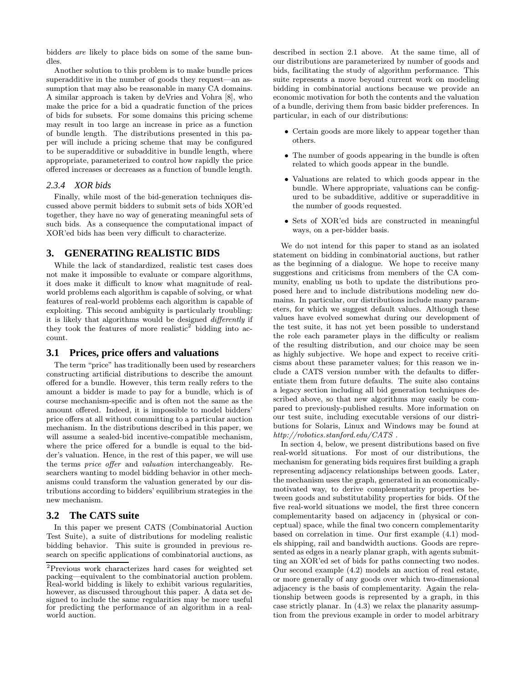bidders are likely to place bids on some of the same bundles.

Another solution to this problem is to make bundle prices superadditive in the number of goods they request—an assumption that may also be reasonable in many CA domains. A similar approach is taken by deVries and Vohra [8], who make the price for a bid a quadratic function of the prices of bids for subsets. For some domains this pricing scheme may result in too large an increase in price as a function of bundle length. The distributions presented in this paper will include a pricing scheme that may be configured to be superadditive or subadditive in bundle length, where appropriate, parameterized to control how rapidly the price offered increases or decreases as a function of bundle length.

#### *2.3.4 XOR bids*

Finally, while most of the bid-generation techniques discussed above permit bidders to submit sets of bids XOR'ed together, they have no way of generating meaningful sets of such bids. As a consequence the computational impact of XOR'ed bids has been very difficult to characterize.

## **3. GENERATING REALISTIC BIDS**

While the lack of standardized, realistic test cases does not make it impossible to evaluate or compare algorithms, it does make it difficult to know what magnitude of realworld problems each algorithm is capable of solving, or what features of real-world problems each algorithm is capable of exploiting. This second ambiguity is particularly troubling: it is likely that algorithms would be designed differently if they took the features of more realistic<sup>2</sup> bidding into account.

## **3.1 Prices, price offers and valuations**

The term "price" has traditionally been used by researchers constructing artificial distributions to describe the amount offered for a bundle. However, this term really refers to the amount a bidder is made to pay for a bundle, which is of course mechanism-specific and is often not the same as the amount offered. Indeed, it is impossible to model bidders' price offers at all without committing to a particular auction mechanism. In the distributions described in this paper, we will assume a sealed-bid incentive-compatible mechanism, where the price offered for a bundle is equal to the bidder's valuation. Hence, in the rest of this paper, we will use the terms price offer and valuation interchangeably. Researchers wanting to model bidding behavior in other mechanisms could transform the valuation generated by our distributions according to bidders' equilibrium strategies in the new mechanism.

## **3.2 The CATS suite**

In this paper we present CATS (Combinatorial Auction Test Suite), a suite of distributions for modeling realistic bidding behavior. This suite is grounded in previous research on specific applications of combinatorial auctions, as described in section 2.1 above. At the same time, all of our distributions are parameterized by number of goods and bids, facilitating the study of algorithm performance. This suite represents a move beyond current work on modeling bidding in combinatorial auctions because we provide an economic motivation for both the contents and the valuation of a bundle, deriving them from basic bidder preferences. In particular, in each of our distributions:

- Certain goods are more likely to appear together than others.
- The number of goods appearing in the bundle is often related to which goods appear in the bundle.
- Valuations are related to which goods appear in the bundle. Where appropriate, valuations can be configured to be subadditive, additive or superadditive in the number of goods requested.
- Sets of XOR'ed bids are constructed in meaningful ways, on a per-bidder basis.

We do not intend for this paper to stand as an isolated statement on bidding in combinatorial auctions, but rather as the beginning of a dialogue. We hope to receive many suggestions and criticisms from members of the CA community, enabling us both to update the distributions proposed here and to include distributions modeling new domains. In particular, our distributions include many parameters, for which we suggest default values. Although these values have evolved somewhat during our development of the test suite, it has not yet been possible to understand the role each parameter plays in the difficulty or realism of the resulting distribution, and our choice may be seen as highly subjective. We hope and expect to receive criticisms about these parameter values; for this reason we include a CATS version number with the defaults to differentiate them from future defaults. The suite also contains a legacy section including all bid generation techniques described above, so that new algorithms may easily be compared to previously-published results. More information on our test suite, including executable versions of our distributions for Solaris, Linux and Windows may be found at http://robotics.stanford.edu/CATS .

In section 4, below, we present distributions based on five real-world situations. For most of our distributions, the mechanism for generating bids requires first building a graph representing adjacency relationships between goods. Later, the mechanism uses the graph, generated in an economicallymotivated way, to derive complementarity properties between goods and substitutability properties for bids. Of the five real-world situations we model, the first three concern complementarity based on adjacency in (physical or conceptual) space, while the final two concern complementarity based on correlation in time. Our first example (4.1) models shipping, rail and bandwidth auctions. Goods are represented as edges in a nearly planar graph, with agents submitting an XOR'ed set of bids for paths connecting two nodes. Our second example (4.2) models an auction of real estate, or more generally of any goods over which two-dimensional adjacency is the basis of complementarity. Again the relationship between goods is represented by a graph, in this case strictly planar. In (4.3) we relax the planarity assumption from the previous example in order to model arbitrary

<sup>2</sup>Previous work characterizes hard cases for weighted set packing—equivalent to the combinatorial auction problem. Real-world bidding is likely to exhibit various regularities, however, as discussed throughout this paper. A data set designed to include the same regularities may be more useful for predicting the performance of an algorithm in a realworld auction.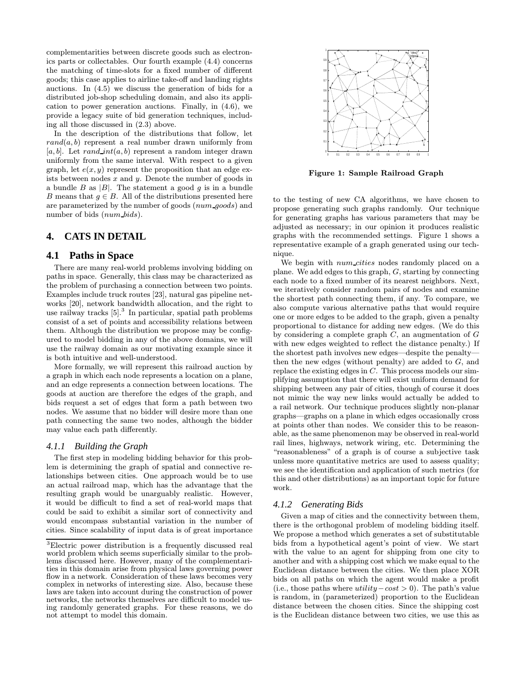complementarities between discrete goods such as electronics parts or collectables. Our fourth example (4.4) concerns the matching of time-slots for a fixed number of different goods; this case applies to airline take-off and landing rights auctions. In (4.5) we discuss the generation of bids for a distributed job-shop scheduling domain, and also its application to power generation auctions. Finally, in (4.6), we provide a legacy suite of bid generation techniques, including all those discussed in (2.3) above.

In the description of the distributions that follow, let  $rand(a, b)$  represent a real number drawn uniformly from  $[a, b]$ . Let rand int $(a, b)$  represent a random integer drawn uniformly from the same interval. With respect to a given graph, let  $e(x, y)$  represent the proposition that an edge exists between nodes  $x$  and  $y$ . Denote the number of goods in a bundle  $B$  as  $|B|$ . The statement a good  $g$  is in a bundle B means that  $q \in B$ . All of the distributions presented here are parameterized by the number of goods (num goods) and number of bids (*num bids*).

# **4. CATS IN DETAIL**

#### **4.1 Paths in Space**

There are many real-world problems involving bidding on paths in space. Generally, this class may be characterized as the problem of purchasing a connection between two points. Examples include truck routes [23], natural gas pipeline networks [20], network bandwidth allocation, and the right to use railway tracks  $[5]^3$  In particular, spatial path problems consist of a set of points and accessibility relations between them. Although the distribution we propose may be configured to model bidding in any of the above domains, we will use the railway domain as our motivating example since it is both intuitive and well-understood.

More formally, we will represent this railroad auction by a graph in which each node represents a location on a plane, and an edge represents a connection between locations. The goods at auction are therefore the edges of the graph, and bids request a set of edges that form a path between two nodes. We assume that no bidder will desire more than one path connecting the same two nodes, although the bidder may value each path differently.

#### *4.1.1 Building the Graph*

The first step in modeling bidding behavior for this problem is determining the graph of spatial and connective relationships between cities. One approach would be to use an actual railroad map, which has the advantage that the resulting graph would be unarguably realistic. However, it would be difficult to find a set of real-world maps that could be said to exhibit a similar sort of connectivity and would encompass substantial variation in the number of cities. Since scalability of input data is of great importance



Figure 1: Sample Railroad Graph

to the testing of new CA algorithms, we have chosen to propose generating such graphs randomly. Our technique for generating graphs has various parameters that may be adjusted as necessary; in our opinion it produces realistic graphs with the recommended settings. Figure 1 shows a representative example of a graph generated using our technique.

We begin with *num cities* nodes randomly placed on a plane. We add edges to this graph, G, starting by connecting each node to a fixed number of its nearest neighbors. Next, we iteratively consider random pairs of nodes and examine the shortest path connecting them, if any. To compare, we also compute various alternative paths that would require one or more edges to be added to the graph, given a penalty proportional to distance for adding new edges. (We do this by considering a complete graph  $C$ , an augmentation of  $G$ with new edges weighted to reflect the distance penalty.) If the shortest path involves new edges—despite the penalty then the new edges (without penalty) are added to G, and replace the existing edges in  $C$ . This process models our simplifying assumption that there will exist uniform demand for shipping between any pair of cities, though of course it does not mimic the way new links would actually be added to a rail network. Our technique produces slightly non-planar graphs—graphs on a plane in which edges occasionally cross at points other than nodes. We consider this to be reasonable, as the same phenomenon may be observed in real-world rail lines, highways, network wiring, etc. Determining the "reasonableness" of a graph is of course a subjective task unless more quantitative metrics are used to assess quality; we see the identification and application of such metrics (for this and other distributions) as an important topic for future work.

## *4.1.2 Generating Bids*

Given a map of cities and the connectivity between them, there is the orthogonal problem of modeling bidding itself. We propose a method which generates a set of substitutable bids from a hypothetical agent's point of view. We start with the value to an agent for shipping from one city to another and with a shipping cost which we make equal to the Euclidean distance between the cities. We then place XOR bids on all paths on which the agent would make a profit (i.e., those paths where  $utility-cost > 0$ ). The path's value is random, in (parameterized) proportion to the Euclidean distance between the chosen cities. Since the shipping cost is the Euclidean distance between two cities, we use this as

<sup>3</sup>Electric power distribution is a frequently discussed real world problem which seems superficially similar to the problems discussed here. However, many of the complementarities in this domain arise from physical laws governing power flow in a network. Consideration of these laws becomes very complex in networks of interesting size. Also, because these laws are taken into account during the construction of power networks, the networks themselves are difficult to model using randomly generated graphs. For these reasons, we do not attempt to model this domain.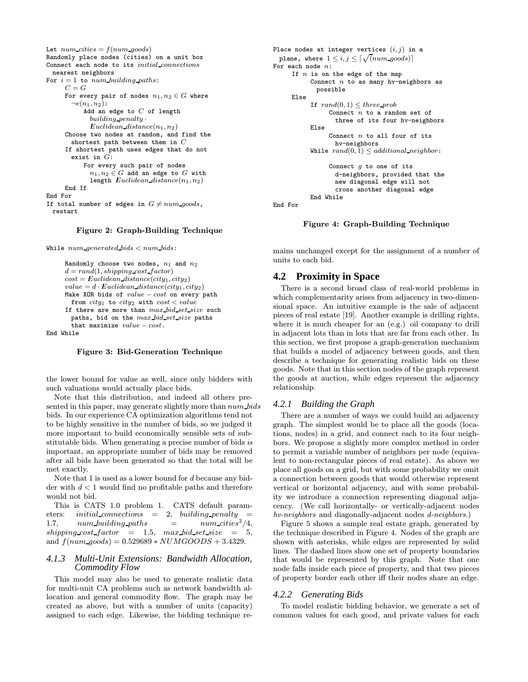```
Let num\_cities = f(num\_goods)Randomly place nodes (cities) on a unit box
Connect each node to its initial connections
 nearest neighbors
For i = 1 to num building paths:
     C = GFor every pair of nodes n_1, n_2 \in G where
       \neg e(n_1, n_2):
          Add an edge to C of length
            building\_penalty \cdotEuclidean\ distance(n_1, n_2)Choose two nodes at random, and find the
       shortest path between them in CIf shortest path uses edges that do not
       exist in G:
          For every such pair of nodes
            n_1, n_2 \in G add an edge to G with
            length Euclidean\_distance(n_1, n_2)End If
End For
If total number of edges in G \neq num\_{goods},
 restart
```
## Figure 2: Graph-Building Technique

While  $num\_generated\_bids < num\_bids$ :

```
Randomly choose two nodes, n_1 and n_2d = rand(1, shipping\_cost\_factor)cost = Euclidean\ distance(city_1, city_2)value = d \cdot Euclidean\_distance(city_1, city_2)Make XOR bids of value - cost on every path
       from city_1 to city_2 with cost < valueIf there are more than max\_bid\_set\_size such
       paths, bid on the max bid set size paths
       that maximize value - cost.
End While
```
#### Figure 3: Bid-Generation Technique

the lower bound for value as well, since only bidders with such valuations would actually place bids.

Note that this distribution, and indeed all others presented in this paper, may generate slightly more than  $num\_bids$ bids. In our experience CA optimization algorithms tend not to be highly sensitive in the number of bids, so we judged it more important to build economically sensible sets of substitutable bids. When generating a precise number of bids is important, an appropriate number of bids may be removed after all bids have been generated so that the total will be met exactly.

Note that 1 is used as a lower bound for d because any bidder with  $d < 1$  would find no profitable paths and therefore would not bid.

This is CATS 1.0 problem 1. CATS default parameters: *initial connections* = 2, *building penalty* = 1.7, num building paths  $=$  num cities<sup>2</sup>/4,  $shipping\ cost\ factor = 1.5$ ,  $max\ bid\ set\ size = 5$ , and  $f(num\_qoods) = 0.529689 * NUMGOODS + 3.4329$ .

## *4.1.3 Multi-Unit Extensions: Bandwidth Allocation, Commodity Flow*

This model may also be used to generate realistic data for multi-unit CA problems such as network bandwidth allocation and general commodity flow. The graph may be created as above, but with a number of units (capacity) assigned to each edge. Likewise, the bidding technique re-

```
Place nodes at integer vertices (i, j) in a
 plane, where 1 \leq i, j \leq \lceil \sqrt{(num\_goods)} \rceilFor each node n:
     If n is on the edge of the map
           Connect n to as many hv-neighbors as
             possible
     Else
           If rand(0, 1) \leq three-prob
                 Connect n to a random set of
                  three of its four hv-neighbors
           Else
                 Connect n to all four of its
                  hv-neighbors
           While rand(0, 1) \leq additional\_neighbor:
                 Connect q to one of its
                  d-neighbors, provided that the
                  new diagonal edge will not
                  cross another diagonal edge
           End While
```
End For

#### Figure 4: Graph-Building Technique

mains unchanged except for the assignment of a number of units to each bid.

## **4.2 Proximity in Space**

There is a second broad class of real-world problems in which complementarity arises from adjacency in two-dimensional space. An intuitive example is the sale of adjacent pieces of real estate [19]. Another example is drilling rights, where it is much cheaper for an (e.g.) oil company to drill in adjacent lots than in lots that are far from each other. In this section, we first propose a graph-generation mechanism that builds a model of adjacency between goods, and then describe a technique for generating realistic bids on these goods. Note that in this section nodes of the graph represent the goods at auction, while edges represent the adjacency relationship.

#### *4.2.1 Building the Graph*

There are a number of ways we could build an adjacency graph. The simplest would be to place all the goods (locations, nodes) in a grid, and connect each to its four neighbors. We propose a slightly more complex method in order to permit a variable number of neighbors per node (equivalent to non-rectangular pieces of real estate). As above we place all goods on a grid, but with some probability we omit a connection between goods that would otherwise represent vertical or horizontal adjacency, and with some probability we introduce a connection representing diagonal adjacency. (We call horizontally- or vertically-adjacent nodes hv-neighbors and diagonally-adjacent nodes d-neighbors.)

Figure 5 shows a sample real estate graph, generated by the technique described in Figure 4. Nodes of the graph are shown with asterisks, while edges are represented by solid lines. The dashed lines show one set of property boundaries that would be represented by this graph. Note that one node falls inside each piece of property, and that two pieces of property border each other iff their nodes share an edge.

#### *4.2.2 Generating Bids*

To model realistic bidding behavior, we generate a set of common values for each good, and private values for each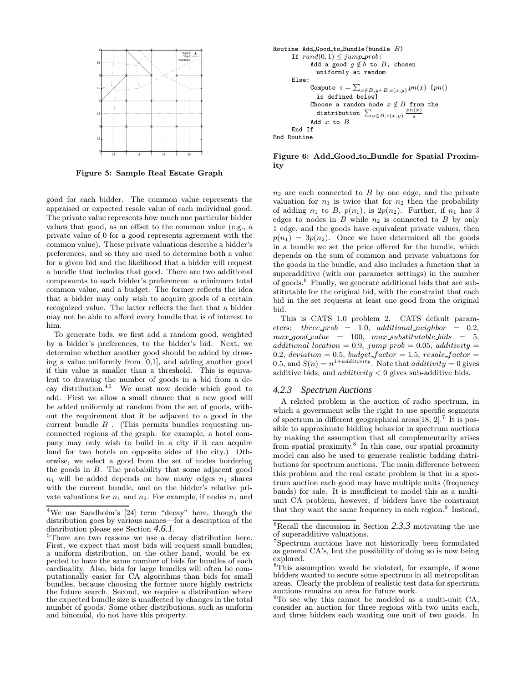

Figure 5: Sample Real Estate Graph

good for each bidder. The common value represents the appraised or expected resale value of each individual good. The private value represents how much one particular bidder values that good, as an offset to the common value (e.g., a private value of 0 for a good represents agreement with the common value). These private valuations describe a bidder's preferences, and so they are used to determine both a value for a given bid and the likelihood that a bidder will request a bundle that includes that good. There are two additional components to each bidder's preferences: a minimum total common value, and a budget. The former reflects the idea that a bidder may only wish to acquire goods of a certain recognized value. The latter reflects the fact that a bidder may not be able to afford every bundle that is of interest to him.

To generate bids, we first add a random good, weighted by a bidder's preferences, to the bidder's bid. Next, we determine whether another good should be added by drawing a value uniformly from [0,1], and adding another good if this value is smaller than a threshold. This is equivalent to drawing the number of goods in a bid from a decay distribution.<sup>45</sup> We must now decide which good to add. First we allow a small chance that a new good will be added uniformly at random from the set of goods, without the requirement that it be adjacent to a good in the current bundle B . (This permits bundles requesting unconnected regions of the graph: for example, a hotel company may only wish to build in a city if it can acquire land for two hotels on opposite sides of the city.) Otherwise, we select a good from the set of nodes bordering the goods in B. The probability that some adjacent good  $n_1$  will be added depends on how many edges  $n_1$  shares with the current bundle, and on the bidder's relative private valuations for  $n_1$  and  $n_2$ . For example, if nodes  $n_1$  and

```
Routine Add Good to Bundle(bundle B)
      If rand(0, 1) \leq jump\_prob:
            Add a good g \notin b to B, chosen
              uniformly at random
      Else:
             Compute s = \sum_{x \notin B, y \in B, e(x,y)} pn(x) [pn()is defined below]
            Choose a random node x \notin B from the
               distribution \sum_{y\in B, e(x,y)} \frac{p n(x)}{s}Add x to BEnd If
End Routine
```
#### Figure 6: Add Good to Bundle for Spatial Proximity

 $n_2$  are each connected to  $B$  by one edge, and the private valuation for  $n_1$  is twice that for  $n_2$  then the probability of adding  $n_1$  to B,  $p(n_1)$ , is  $2p(n_2)$ . Further, if  $n_1$  has 3 edges to nodes in B while  $n_2$  is connected to B by only 1 edge, and the goods have equivalent private values, then  $p(n_1)=3p(n_2)$ . Once we have determined all the goods in a bundle we set the price offered for the bundle, which depends on the sum of common and private valuations for the goods in the bundle, and also includes a function that is superadditive (with our parameter settings) in the number of goods.<sup>6</sup> Finally, we generate additional bids that are substitutable for the original bid, with the constraint that each bid in the set requests at least one good from the original bid.

This is CATS 1.0 problem 2. CATS default parameters: three prob = 1.0, additional neighbor = 0.2,  $max\_qood\_value = 100$ ,  $max\_\text{substitutable\_bids} = 5$ , additional location = 0.9, jump prob = 0.05, additivity = 0.2, deviation = 0.5, budget  $factor = 1.5$ , resale  $factor =$ 0.5, and  $S(n) = n^{1+additivity}$ . Note that *additivity* = 0 gives additive bids, and  $additivity < 0$  gives sub-additive bids.

#### *4.2.3 Spectrum Auctions*

A related problem is the auction of radio spectrum, in which a government sells the right to use specific segments of spectrum in different geographical areas  $[18, 2]$ .<sup>7</sup> It is possible to approximate bidding behavior in spectrum auctions by making the assumption that all complementarity arises from spatial proximity.<sup>8</sup> In this case, our spatial proximity model can also be used to generate realistic bidding distributions for spectrum auctions. The main difference between this problem and the real estate problem is that in a spectrum auction each good may have multiple units (frequency bands) for sale. It is insufficient to model this as a multiunit CA problem, however, if bidders have the constraint that they want the same frequency in each region. $9$  Instead,

<sup>4</sup>We use Sandholm's [24] term "decay" here, though the distribution goes by various names—for a description of the distribution please see Section  $4.6.1$ .

<sup>&</sup>lt;sup>5</sup>There are two reasons we use a decay distribution here. First, we expect that most bids will request small bundles; a uniform distribution, on the other hand, would be expected to have the same number of bids for bundles of each cardinality. Also, bids for large bundles will often be computationally easier for CA algorithms than bids for small bundles, because choosing the former more highly restricts the future search. Second, we require a distribution where the expected bundle size is unaffected by changes in the total number of goods. Some other distributions, such as uniform and binomial, do not have this property.

<sup>6</sup>Recall the discussion in Section *2.3.3* motivating the use of superadditive valuations.

<sup>7</sup>Spectrum auctions have not historically been formulated as general CA's, but the possibility of doing so is now being explored.

<sup>8</sup>This assumption would be violated, for example, if some bidders wanted to secure some spectrum in all metropolitan areas. Clearly the problem of realistic test data for spectrum auctions remains an area for future work.

 ${}^{9}$ To see why this cannot be modeled as a multi-unit CA, consider an auction for three regions with two units each, and three bidders each wanting one unit of two goods. In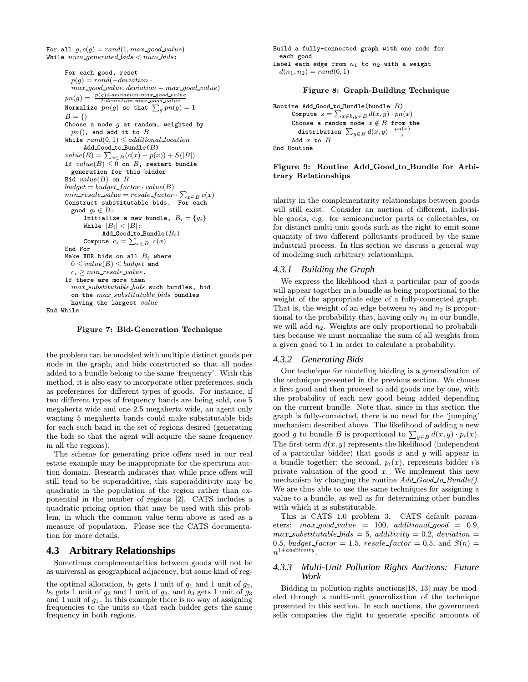For all  $g, c(g) = rand(1, max\_good\_value)$ While  $num\_generated\_bids < num\_bids$ :

```
For each good, reset
        p(g) = rand(-deviation \; \cdot \;max\_good\_value, deviation + max\_good\_value)p n(g) = \frac{p(g) + deviation \cdot max \cdot good\_value}{2 \cdot deviation \cdot max \cdot good\_value}2·deviation·max good value
      Normalize pn(g) so that \sum_g pn(g)=1B = \{\}Choose a node g at random, weighted by
        pn(), and add it to BWhile rand(0, 1) \leq additional\_locationAdd\_Good\_to\_Bundle(B)value(B) = \sum_{x \in B} (c(x) + p(x)) + S(|B|)If value(B) \leq 0 on B, restart bundle
        generation for this bidder
      Bid value(B) on Bbudget = budget\_factor \cdot value(B)min\_resale\_value = resale\_factor \cdot \sum_{x \in B} c(x)Construct substitutable bids. For each
        good g_i \in B:
            Initialize a new bundle, B_i = \{g_i\}While |B_i| < |B|:
                  Add_Good_to_Bundle(B_i)Compute c_i = \sum_{x \in B_i} c(x)End For
      Make XOR bids on all B_i where
        0 \le value(B) \le budget and
        c_i \geq min\_resale\_value.If there are more than
        max substitutable bids such bundles, bid
        on the max\_substitutable\_bids bundles
        having the largest valueEnd While
```
Figure 7: Bid-Generation Technique

the problem can be modeled with multiple distinct goods per node in the graph, and bids constructed so that all nodes added to a bundle belong to the same 'frequency'. With this method, it is also easy to incorporate other preferences, such as preferences for different types of goods. For instance, if two different types of frequency bands are being sold, one 5 megahertz wide and one 2.5 megahertz wide, an agent only wanting 5 megahertz bands could make substitutable bids for each such band in the set of regions desired (generating the bids so that the agent will acquire the same frequency in all the regions).

The scheme for generating price offers used in our real estate example may be inappropriate for the spectrum auction domain. Research indicates that while price offers will still tend to be superadditive, this superadditivity may be quadratic in the population of the region rather than exponential in the number of regions [2]. CATS includes a quadratic pricing option that may be used with this problem, in which the common value term above is used as a measure of population. Please see the CATS documentation for more details.

## **4.3 Arbitrary Relationships**

Sometimes complementarities between goods will not be as universal as geographical adjacency, but some kind of regBuild a fully-connected graph with one node for each good Label each edge from  $n_1$  to  $n_2$  with a weight  $d(n_1, n_2) = rand(0, 1)$ 

#### Figure 8: Graph-Building Technique

```
Routine Add Good to Bundle(bundle B)
       Compute s = \sum_{x \notin b, y \in B} d(x, y) \cdot pn(x)Choose a random node x \notin B from the
         distribution \sum_{y\in B} d(x,y)\cdot \frac{pn(x)}{s}Add x to BEnd Routine
```
#### Figure 9: Routine Add Good to Bundle for Arbitrary Relationships

ularity in the complementarity relationships between goods will still exist. Consider an auction of different, indivisible goods, e.g. for semiconductor parts or collectables, or for distinct multi-unit goods such as the right to emit some quantity of two different pollutants produced by the same industrial process. In this section we discuss a general way of modeling such arbitrary relationships.

#### *4.3.1 Building the Graph*

We express the likelihood that a particular pair of goods will appear together in a bundle as being proportional to the weight of the appropriate edge of a fully-connected graph. That is, the weight of an edge between  $n_1$  and  $n_2$  is proportional to the probability that, having only  $n_1$  in our bundle, we will add  $n_2$ . Weights are only proportional to probabilities because we must normalize the sum of all weights from a given good to 1 in order to calculate a probability.

#### *4.3.2 Generating Bids*

Our technique for modeling bidding is a generalization of the technique presented in the previous section. We choose a first good and then proceed to add goods one by one, with the probability of each new good being added depending on the current bundle. Note that, since in this section the graph is fully-connected, there is no need for the 'jumping' mechanism described above. The likelihood of adding a new good g to bundle B is proportional to  $\sum_{y \in B} d(x, y) \cdot p_i(x)$ . The first term  $d(x, y)$  represents the likelihood (independent of a particular bidder) that goods  $x$  and  $y$  will appear in a bundle together; the second,  $p_i(x)$ , represents bidder i's private valuation of the good  $x$ . We implement this new mechanism by changing the routine  $Add\_Good\_to\_Bundle($ . We are thus able to use the same techniques for assigning a value to a bundle, as well as for determining other bundles with which it is substitutable.

This is CATS 1.0 problem 3. CATS default parameters:  $max_{q} good\_value = 100$ ,  $additional_{q}ood = 0.9$ ,  $max\_substitutable\_bids = 5$ , additivity = 0.2, deviation = 0.5, budget factor = 1.5, resale factor = 0.5, and  $S(n)$  =  $n^{1+additivity}$ 

#### *4.3.3 Multi-Unit Pollution Rights Auctions: Future Work*

Bidding in pollution-rights auctions[18, 13] may be modeled through a multi-unit generalization of the technique presented in this section. In such auctions, the government sells companies the right to generate specific amounts of

the optimal allocation,  $b_1$  gets 1 unit of  $g_1$  and 1 unit of  $g_2$ ,  $b_2$  gets 1 unit of  $g_2$  and 1 unit of  $g_3$ , and  $b_3$  gets 1 unit of  $g_3$ and 1 unit of  $g_1$ . In this example there is no way of assigning frequencies to the units so that each bidder gets the same frequency in both regions.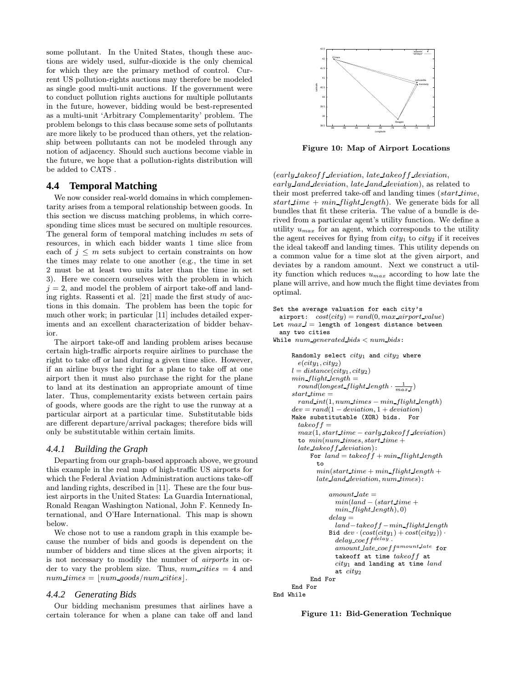some pollutant. In the United States, though these auctions are widely used, sulfur-dioxide is the only chemical for which they are the primary method of control. Current US pollution-rights auctions may therefore be modeled as single good multi-unit auctions. If the government were to conduct pollution rights auctions for multiple pollutants in the future, however, bidding would be best-represented as a multi-unit 'Arbitrary Complementarity' problem. The problem belongs to this class because some sets of pollutants are more likely to be produced than others, yet the relationship between pollutants can not be modeled through any notion of adjacency. Should such auctions become viable in the future, we hope that a pollution-rights distribution will be added to CATS .

## **4.4 Temporal Matching**

We now consider real-world domains in which complementarity arises from a temporal relationship between goods. In this section we discuss matching problems, in which corresponding time slices must be secured on multiple resources. The general form of temporal matching includes m sets of resources, in which each bidder wants 1 time slice from each of  $j \leq m$  sets subject to certain constraints on how the times may relate to one another (e.g., the time in set 2 must be at least two units later than the time in set 3). Here we concern ourselves with the problem in which  $j = 2$ , and model the problem of airport take-off and landing rights. Rassenti et al. [21] made the first study of auctions in this domain. The problem has been the topic for much other work; in particular [11] includes detailed experiments and an excellent characterization of bidder behavior.

The airport take-off and landing problem arises because certain high-traffic airports require airlines to purchase the right to take off or land during a given time slice. However, if an airline buys the right for a plane to take off at one airport then it must also purchase the right for the plane to land at its destination an appropriate amount of time later. Thus, complementarity exists between certain pairs of goods, where goods are the right to use the runway at a particular airport at a particular time. Substitutable bids are different departure/arrival packages; therefore bids will only be substitutable within certain limits.

#### *4.4.1 Building the Graph*

Departing from our graph-based approach above, we ground this example in the real map of high-traffic US airports for which the Federal Aviation Administration auctions take-off and landing rights, described in [11]. These are the four busiest airports in the United States: La Guardia International, Ronald Reagan Washington National, John F. Kennedy International, and O'Hare International. This map is shown below.

We chose not to use a random graph in this example because the number of bids and goods is dependent on the number of bidders and time slices at the given airports; it is not necessary to modify the number of airports in order to vary the problem size. Thus,  $num\_cities = 4$  and  $num\_times = |num\_goods/num\_cities|.$ 

## *4.4.2 Generating Bids*

Our bidding mechanism presumes that airlines have a certain tolerance for when a plane can take off and land



Figure 10: Map of Airport Locations

(early takeoff deviation, late takeoff deviation,

early land deviation, late land deviation), as related to their most preferred take-off and landing times (start time, start time  $+$  min flight length). We generate bids for all bundles that fit these criteria. The value of a bundle is derived from a particular agent's utility function. We define a utility  $u_{max}$  for an agent, which corresponds to the utility the agent receives for flying from  $city_1$  to  $city_2$  if it receives the ideal takeoff and landing times. This utility depends on a common value for a time slot at the given airport, and deviates by a random amount. Next we construct a utility function which reduces  $u_{max}$  according to how late the plane will arrive, and how much the flight time deviates from optimal.

```
Set the average valuation for each city's
 airport: cost(city) = rand(0, max_airport_value)Let max_l = length of longest distance between
 any two cities
While num\_generated\_bids < num\_bids:
```

```
Randomly select city_1 and city_2 where
        e(city_1, city_2)l = distance(city_1, city_2)min\_flight\_length =round(longest\_flight\_length \cdot \frac{1}{max\_l})start\_time =rand\_int(1, num\_times - min\_flight\_length)dev = rand(1 - deviation, 1 + deviation)Make substitutable (XOR) bids. For
        takeoff =max(1, start\_time - early\_takeoff\_deviation)to min(num\_times, start\_time +late\_takeoff\_deviation):For land = takeoff + min\_flight length
              to
              min(start\_time + min\_flight\_length +late land deviation, num times):
                   amount\_late =min(land - (start\_time +min\_flight\_length), 0)
                   delay =land-takeoff-min\_flight\_lengthBid dev \cdot (cost(city_1) + cost(city_2)) \cdot<br>delay coef f^{delay}.
                     amount\_late\_coeff^{amount\_late} {\color{red} for}takeoff at time \emph{takeoff} at
                     city_1 and landing at time land
                     at city<sub>2</sub>End For
      End For
End While
```
Figure 11: Bid-Generation Technique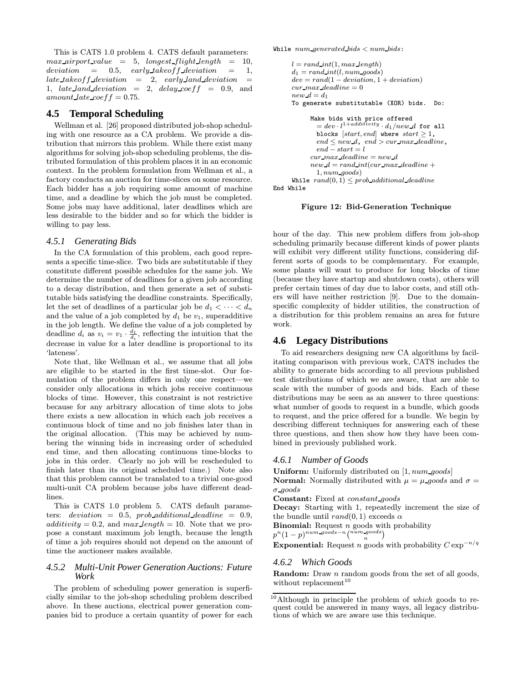This is CATS 1.0 problem 4. CATS default parameters:  $max\_ airport\_value = 5, longest\_flight\_length = 10,$  $deviation = 0.5, early\_takeoff\_deviation = 1,$  $late\_takeoff\_deviation = 2, early\_land\_deviation =$ 1, *late land deviation* = 2, *delay coeff* = 0.9, and amount late  $\cos f f = 0.75$ .

## **4.5 Temporal Scheduling**

Wellman et al. [26] proposed distributed job-shop scheduling with one resource as a CA problem. We provide a distribution that mirrors this problem. While there exist many algorithms for solving job-shop scheduling problems, the distributed formulation of this problem places it in an economic context. In the problem formulation from Wellman et al., a factory conducts an auction for time-slices on some resource. Each bidder has a job requiring some amount of machine time, and a deadline by which the job must be completed. Some jobs may have additional, later deadlines which are less desirable to the bidder and so for which the bidder is willing to pay less.

#### *4.5.1 Generating Bids*

In the CA formulation of this problem, each good represents a specific time-slice. Two bids are substitutable if they constitute different possible schedules for the same job. We determine the number of deadlines for a given job according to a decay distribution, and then generate a set of substitutable bids satisfying the deadline constraints. Specifically, let the set of deadlines of a particular job be  $d_1 < \cdots < d_n$ and the value of a job completed by  $d_1$  be  $v_1$ , superadditive in the job length. We define the value of a job completed by deadline  $d_i$  as  $v_i = v_1 \cdot \frac{d_1}{d_i}$ , reflecting the intuition that the decrease in value for a later deadline is proportional to its 'lateness'.

Note that, like Wellman et al., we assume that all jobs are eligible to be started in the first time-slot. Our formulation of the problem differs in only one respect—we consider only allocations in which jobs receive continuous blocks of time. However, this constraint is not restrictive because for any arbitrary allocation of time slots to jobs there exists a new allocation in which each job receives a continuous block of time and no job finishes later than in the original allocation. (This may be achieved by numbering the winning bids in increasing order of scheduled end time, and then allocating continuous time-blocks to jobs in this order. Clearly no job will be rescheduled to finish later than its original scheduled time.) Note also that this problem cannot be translated to a trivial one-good multi-unit CA problem because jobs have different deadlines.

This is CATS 1.0 problem 5. CATS default parameters: deviation =  $0.5$ , prob additional deadline =  $0.9$ , additivity = 0.2, and max length = 10. Note that we propose a constant maximum job length, because the length of time a job requires should not depend on the amount of time the auctioneer makes available.

## *4.5.2 Multi-Unit Power Generation Auctions: Future Work*

The problem of scheduling power generation is superficially similar to the job-shop scheduling problem described above. In these auctions, electrical power generation companies bid to produce a certain quantity of power for each While  $num\_generated\_bids < num\_bids$ :

```
l = rand int(1, max lenath)d_1 = rand\_int(l, num\_goods)dev = rand(1 - deviation, 1 + deviation)cur\_max deadline = 0new_d = d_1To generate substitutable (XOR) bids. Do:
            Make bids with price offered
              d = dev \cdot l^{1+additivity} \cdot d_1 / new\_d for all
             blocks [start, end] where start \geq 1,
             end \leq new d, end > cur\_max\_deadline,
             end - start = lcur max deadline = new d
           new_d = rand\_int(cur\_max_d=idealline +1, num\_qoods)While rand(0, 1) \le prob-additional\_deadlineEnd While
```
#### Figure 12: Bid-Generation Technique

hour of the day. This new problem differs from job-shop scheduling primarily because different kinds of power plants will exhibit very different utility functions, considering different sorts of goods to be complementary. For example, some plants will want to produce for long blocks of time (because they have startup and shutdown costs), others will prefer certain times of day due to labor costs, and still others will have neither restriction [9]. Due to the domainspecific complexity of bidder utilities, the construction of a distribution for this problem remains an area for future work.

## **4.6 Legacy Distributions**

To aid researchers designing new CA algorithms by facilitating comparison with previous work, CATS includes the ability to generate bids according to all previous published test distributions of which we are aware, that are able to scale with the number of goods and bids. Each of these distributions may be seen as an answer to three questions: what number of goods to request in a bundle, which goods to request, and the price offered for a bundle. We begin by describing different techniques for answering each of these three questions, and then show how they have been combined in previously published work.

#### *4.6.1 Number of Goods*

Uniform: Uniformly distributed on [1, num\_goods] **Normal:** Normally distributed with  $\mu = \mu$ -goods and  $\sigma =$ σ goods

Constant: Fixed at constant goods

Decay: Starting with 1, repeatedly increment the size of the bundle until  $rand(0, 1)$  exceeds  $\alpha$ 

**Binomial:** Request  $n$  goods with probability

 $p^n(1-p)^{num\_goods-n}\binom{num\_goods}{n}$ 

Exponential: Request n goods with probability  $C \exp^{-n/q}$ 

#### *4.6.2 Which Goods*

Random: Draw n random goods from the set of all goods, without replacement $10$ 

<sup>10</sup>Although in principle the problem of which goods to request could be answered in many ways, all legacy distributions of which we are aware use this technique.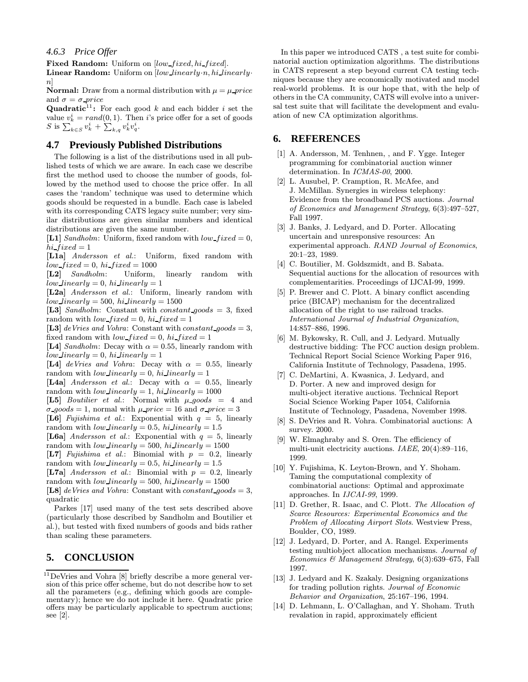## *4.6.3 Price Offer*

Fixed Random: Uniform on [low\_fixed, hi\_fixed].

**Linear Random:** Uniform on  $[low\_linearly \cdot n, hi\_linearly \cdot$  $n$ 

**Normal:** Draw from a normal distribution with  $\mu = \mu$  price and  $\sigma = \sigma$ -price

**Quadratic**<sup>11</sup>: For each good k and each bidder i set the value  $v_k^i = rand(0, 1)$ . Then *i*'s price offer for a set of goods S is  $\sum_{k \in S} v_k^i + \sum_{k,q} v_k^i v_q^i$ .

## **4.7 Previously Published Distributions**

The following is a list of the distributions used in all published tests of which we are aware. In each case we describe first the method used to choose the number of goods, followed by the method used to choose the price offer. In all cases the 'random' technique was used to determine which goods should be requested in a bundle. Each case is labeled with its corresponding CATS legacy suite number; very similar distributions are given similar numbers and identical distributions are given the same number.

[L1] Sandholm: Uniform, fixed random with  $low\_fixed = 0$ , hi\_fixed  $= 1$ 

[L1a] Andersson et al.: Uniform, fixed random with  $low\_fixed = 0, hi\_fixed = 1000$ 

[L2] Sandholm: Uniform, linearly random with  $low\,linearly=0, \,hi\,linearly=1$ 

[L2a] Andersson et al.: Uniform, linearly random with  $low\,Linearly = 500, \, hil\,linearly = 1500$ 

[L3] Sandholm: Constant with constant goods = 3, fixed random with  $low\_fixed = 0$ , hi  $fixed = 1$ 

[L3] deVries and Vohra: Constant with constant goods = 3, fixed random with  $low\_fixed = 0$ ,  $hi\_fixed = 1$ 

[L4] Sandholm: Decay with  $\alpha = 0.55$ , linearly random with  $low\_linearly = 0, \,hi\_linearly = 1$ 

[L4] deVries and Vohra: Decay with  $\alpha = 0.55$ , linearly random with  $low\,Linearly = 0, \,hi\,Linearly = 1$ 

[L4a] Andersson et al.: Decay with  $\alpha = 0.55$ , linearly random with  $low\,linearly = 1, \,hi\,Linearly = 1000$ 

[L5] *Boutilier et al.*: Normal with  $\mu$ *goods* = 4 and  $\sigma$  goods = 1, normal with  $\mu$  price = 16 and  $\sigma$  price = 3

[L6] Fujishima et al.: Exponential with  $q = 5$ , linearly random with  $low\,Linearly = 0.5$ ,  $hi\,Linearly = 1.5$ 

[L6a] Andersson et al.: Exponential with  $q = 5$ , linearly random with  $low\,linearly = 500, \,hi\,Linearly = 1500$ 

[L7] Fujishima et al.: Binomial with  $p = 0.2$ , linearly random with  $low\,Linearly = 0.5$ ,  $hi\,Linearly = 1.5$ 

[L7a] Andersson et al.: Binomial with  $p = 0.2$ , linearly random with *low linearly* = 500, *hi linearly* = 1500

[L8] deVries and Vohra: Constant with constant goods  $= 3$ , quadratic

Parkes [17] used many of the test sets described above (particularly those described by Sandholm and Boutilier et al.), but tested with fixed numbers of goods and bids rather than scaling these parameters.

## **5. CONCLUSION**

In this paper we introduced CATS , a test suite for combinatorial auction optimization algorithms. The distributions in CATS represent a step beyond current CA testing techniques because they are economically motivated and model real-world problems. It is our hope that, with the help of others in the CA community, CATS will evolve into a universal test suite that will facilitate the development and evaluation of new CA optimization algorithms.

## **6. REFERENCES**

- [1] A. Andersson, M. Tenhnen, , and F. Ygge. Integer programming for combinatorial auction winner determination. In *ICMAS-00*, 2000.
- [2] L. Ausubel, P. Cramption, R. McAfee, and J. McMillan. Synergies in wireless telephony: Evidence from the broadband PCS auctions. Journal of Economics and Management Strategy, 6(3):497–527, Fall 1997.
- [3] J. Banks, J. Ledyard, and D. Porter. Allocating uncertain and unresponsive resources: An experimental approach. RAND Journal of Economics, 20:1–23, 1989.
- [4] C. Boutilier, M. Goldszmidt, and B. Sabata. Sequential auctions for the allocation of resources with complementarities. Proceedings of IJCAI-99, 1999.
- [5] P. Brewer and C. Plott. A binary conflict ascending price (BICAP) mechanism for the decentralized allocation of the right to use railroad tracks. International Journal of Industrial Organization, 14:857–886, 1996.
- [6] M. Bykowsky, R. Cull, and J. Ledyard. Mutually destructive bidding: The FCC auction design problem. Technical Report Social Science Working Paper 916, California Institute of Technology, Pasadena, 1995.
- [7] C. DeMartini, A. Kwasnica, J. Ledyard, and D. Porter. A new and improved design for multi-object iterative auctions. Technical Report Social Science Working Paper 1054, California Institute of Technology, Pasadena, November 1998.
- [8] S. DeVries and R. Vohra. Combinatorial auctions: A survey. 2000.
- [9] W. Elmaghraby and S. Oren. The efficiency of multi-unit electricity auctions. IAEE, 20(4):89–116, 1999.
- [10] Y. Fujishima, K. Leyton-Brown, and Y. Shoham. Taming the computational complexity of combinatorial auctions: Optimal and approximate approaches. In IJCAI-99, 1999.
- [11] D. Grether, R. Isaac, and C. Plott. The Allocation of Scarce Resources: Experimental Economics and the Problem of Allocating Airport Slots. Westview Press, Boulder, CO, 1989.
- [12] J. Ledyard, D. Porter, and A. Rangel. Experiments testing multiobject allocation mechanisms. Journal of Economics & Management Strategy,  $6(3)$ :639–675, Fall 1997.
- [13] J. Ledyard and K. Szakaly. Designing organizations for trading pollution rights. Journal of Economic Behavior and Organization, 25:167–196, 1994.
- [14] D. Lehmann, L. O'Callaghan, and Y. Shoham. Truth revalation in rapid, approximately efficient

<sup>11</sup>DeVries and Vohra [8] briefly describe a more general version of this price offer scheme, but do not describe how to set all the parameters (e.g., defining which goods are complementary); hence we do not include it here. Quadratic price offers may be particularly applicable to spectrum auctions; see [2].